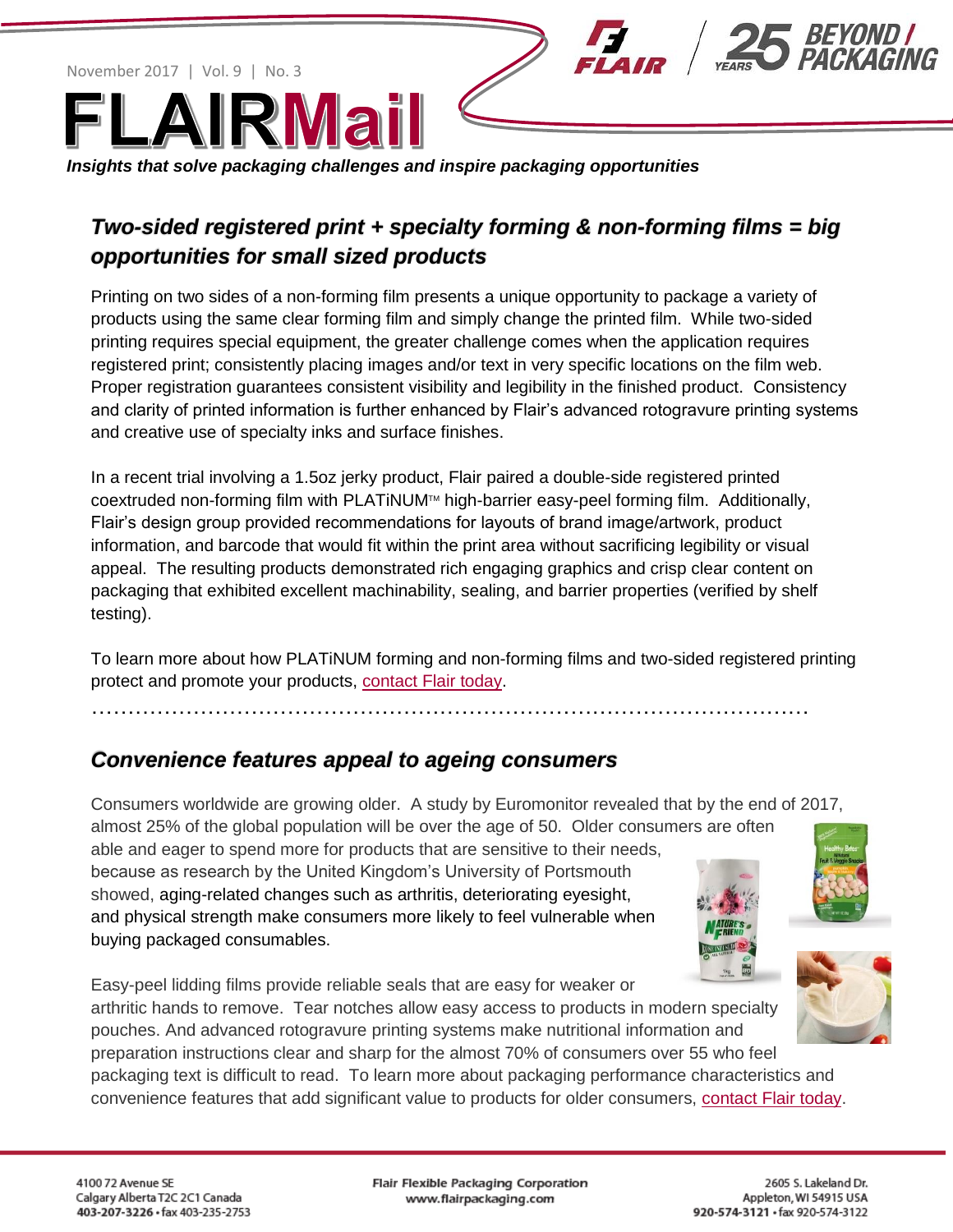November 2017 | Vol. 9 | No. 3



*Insights that solve packaging challenges and inspire packaging opportunities* 

## *Two-sided registered print + specialty forming & non-forming films = big opportunities for small sized products*

Printing on two sides of a non-forming film presents a unique opportunity to package a variety of products using the same clear forming film and simply change the printed film. While two-sided printing requires special equipment, the greater challenge comes when the application requires registered print; consistently placing images and/or text in very specific locations on the film web. Proper registration guarantees consistent visibility and legibility in the finished product. Consistency and clarity of printed information is further enhanced by Flair's advanced rotogravure printing systems and creative use of specialty inks and surface finishes.

In a recent trial involving a 1.5oz jerky product, Flair paired a double-side registered printed coextruded non-forming film with PLATiNUM™ high-barrier easy-peel forming film. Additionally, Flair's design group provided recommendations for layouts of brand image/artwork, product information, and barcode that would fit within the print area without sacrificing legibility or visual appeal. The resulting products demonstrated rich engaging graphics and crisp clear content on packaging that exhibited excellent machinability, sealing, and barrier properties (verified by shelf testing).

To learn more about how PLATiNUM forming and non-forming films and two-sided registered printing protect and promote your products, [contact Flair today.](http://www.flairpackaging.com/contactUs)

………………………………………………………………………………………

## *Convenience features appeal to ageing consumers*

Consumers worldwide are growing older. A study by Euromonitor revealed that by the end of 2017,

almost 25% of the global population will be over the age of 50. Older consumers are often able and eager to spend more for products that are sensitive to their needs,

because as research by the United Kingdom's University of Portsmouth showed, aging-related changes such as arthritis, deteriorating eyesight, and physical strength make consumers more likely to feel vulnerable when buying packaged consumables.







Easy-peel lidding films provide reliable seals that are easy for weaker or arthritic hands to remove. Tear notches allow easy access to products in modern specialty pouches. And advanced rotogravure printing systems make nutritional information and

preparation instructions clear and sharp for the almost 70% of consumers over 55 who feel

packaging text is difficult to read. To learn more about packaging performance characteristics and convenience features that add significant value to products for older consumers, [contact Flair today.](http://www.flairpackaging.com/contactUs)